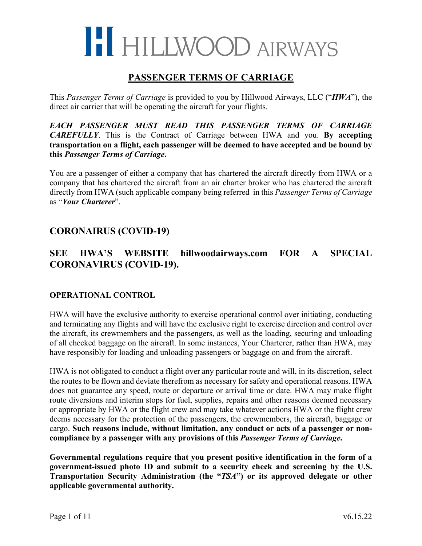### **PASSENGER TERMS OF CARRIAGE**

This *Passenger Terms of Carriage* is provided to you by Hillwood Airways, LLC ("*HWA*"), the direct air carrier that will be operating the aircraft for your flights.

*EACH PASSENGER MUST READ THIS PASSENGER TERMS OF CARRIAGE CAREFULLY*. This is the Contract of Carriage between HWA and you. **By accepting transportation on a flight, each passenger will be deemed to have accepted and be bound by this** *Passenger Terms of Carriage***.**

You are a passenger of either a company that has chartered the aircraft directly from HWA or a company that has chartered the aircraft from an air charter broker who has chartered the aircraft directly from HWA (such applicable company being referred in this *Passenger Terms of Carriage* as "*Your Charterer*".

### **CORONAIRUS (COVID-19)**

## **SEE HWA'S WEBSITE hillwoodairways.com FOR A SPECIAL CORONAVIRUS (COVID-19).**

### **OPERATIONAL CONTROL**

HWA will have the exclusive authority to exercise operational control over initiating, conducting and terminating any flights and will have the exclusive right to exercise direction and control over the aircraft, its crewmembers and the passengers, as well as the loading, securing and unloading of all checked baggage on the aircraft. In some instances, Your Charterer, rather than HWA, may have responsibly for loading and unloading passengers or baggage on and from the aircraft.

HWA is not obligated to conduct a flight over any particular route and will, in its discretion, select the routes to be flown and deviate therefrom as necessary for safety and operational reasons. HWA does not guarantee any speed, route or departure or arrival time or date. HWA may make flight route diversions and interim stops for fuel, supplies, repairs and other reasons deemed necessary or appropriate by HWA or the flight crew and may take whatever actions HWA or the flight crew deems necessary for the protection of the passengers, the crewmembers, the aircraft, baggage or cargo. **Such reasons include, without limitation, any conduct or acts of a passenger or noncompliance by a passenger with any provisions of this** *Passenger Terms of Carriage***.**

**Governmental regulations require that you present positive identification in the form of a government-issued photo ID and submit to a security check and screening by the U.S. Transportation Security Administration (the "***TSA***") or its approved delegate or other applicable governmental authority.**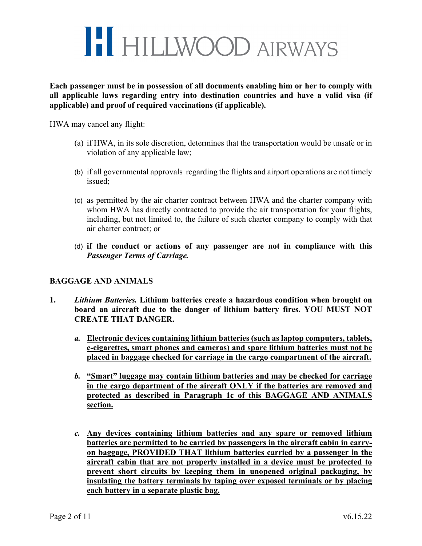

**Each passenger must be in possession of all documents enabling him or her to comply with all applicable laws regarding entry into destination countries and have a valid visa (if applicable) and proof of required vaccinations (if applicable).** 

HWA may cancel any flight:

- (a) if HWA, in its sole discretion, determines that the transportation would be unsafe or in violation of any applicable law;
- (b) if all governmental approvals regarding the flights and airport operations are not timely issued;
- (c) as permitted by the air charter contract between HWA and the charter company with whom HWA has directly contracted to provide the air transportation for your flights, including, but not limited to, the failure of such charter company to comply with that air charter contract; or
- (d) **if the conduct or actions of any passenger are not in compliance with this**  *Passenger Terms of Carriage.*

#### **BAGGAGE AND ANIMALS**

- **1.** *Lithium Batteries.* **Lithium batteries create a hazardous condition when brought on board an aircraft due to the danger of lithium battery fires. YOU MUST NOT CREATE THAT DANGER.** 
	- *a.* **Electronic devices containing lithium batteries (such as laptop computers, tablets, e-cigarettes, smart phones and cameras) and spare lithium batteries must not be placed in baggage checked for carriage in the cargo compartment of the aircraft.**
	- *b.* **"Smart" luggage may contain lithium batteries and may be checked for carriage in the cargo department of the aircraft ONLY if the batteries are removed and protected as described in Paragraph 1c of this BAGGAGE AND ANIMALS section.**
	- *c.* **Any devices containing lithium batteries and any spare or removed lithium batteries are permitted to be carried by passengers in the aircraft cabin in carryon baggage, PROVIDED THAT lithium batteries carried by a passenger in the aircraft cabin that are not properly installed in a device must be protected to prevent short circuits by keeping them in unopened original packaging, by insulating the battery terminals by taping over exposed terminals or by placing each battery in a separate plastic bag.**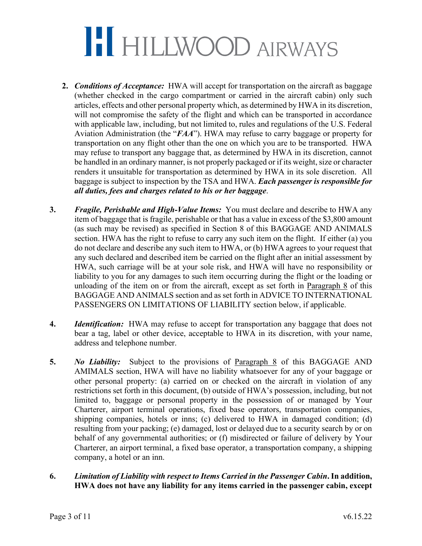- **2.** *Conditions of Acceptance:* HWA will accept for transportation on the aircraft as baggage (whether checked in the cargo compartment or carried in the aircraft cabin) only such articles, effects and other personal property which, as determined by HWA in its discretion, will not compromise the safety of the flight and which can be transported in accordance with applicable law, including, but not limited to, rules and regulations of the U.S. Federal Aviation Administration (the "*FAA*"). HWA may refuse to carry baggage or property for transportation on any flight other than the one on which you are to be transported. HWA may refuse to transport any baggage that, as determined by HWA in its discretion, cannot be handled in an ordinary manner, is not properly packaged or if its weight, size or character renders it unsuitable for transportation as determined by HWA in its sole discretion. All baggage is subject to inspection by the TSA and HWA. *Each passenger is responsible for all duties, fees and charges related to his or her baggage*.
- **3.** *Fragile, Perishable and High-Value Items:* You must declare and describe to HWA any item of baggage that is fragile, perishable or that has a value in excess of the \$3,800 amount (as such may be revised) as specified in Section 8 of this BAGGAGE AND ANIMALS section. HWA has the right to refuse to carry any such item on the flight. If either (a) you do not declare and describe any such item to HWA, or (b) HWA agrees to your request that any such declared and described item be carried on the flight after an initial assessment by HWA, such carriage will be at your sole risk, and HWA will have no responsibility or liability to you for any damages to such item occurring during the flight or the loading or unloading of the item on or from the aircraft, except as set forth in Paragraph 8 of this BAGGAGE AND ANIMALS section and as set forth in ADVICE TO INTERNATIONAL PASSENGERS ON LIMITATIONS OF LIABILITY section below, if applicable.
- **4.** *Identification:* HWA may refuse to accept for transportation any baggage that does not bear a tag, label or other device, acceptable to HWA in its discretion, with your name, address and telephone number.
- **5.** *No Liability:* Subject to the provisions of Paragraph 8 of this BAGGAGE AND AMIMALS section, HWA will have no liability whatsoever for any of your baggage or other personal property: (a) carried on or checked on the aircraft in violation of any restrictions set forth in this document, (b) outside of HWA's possession, including, but not limited to, baggage or personal property in the possession of or managed by Your Charterer, airport terminal operations, fixed base operators, transportation companies, shipping companies, hotels or inns; (c) delivered to HWA in damaged condition; (d) resulting from your packing; (e) damaged, lost or delayed due to a security search by or on behalf of any governmental authorities; or (f) misdirected or failure of delivery by Your Charterer, an airport terminal, a fixed base operator, a transportation company, a shipping company, a hotel or an inn.
- **6.** *Limitation of Liability with respect to Items Carried in the Passenger Cabin***. In addition, HWA does not have any liability for any items carried in the passenger cabin, except**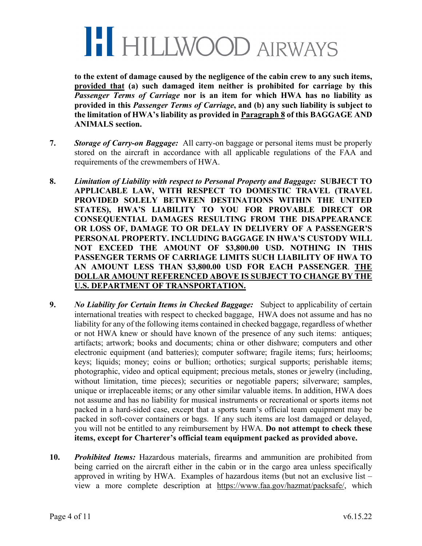

**to the extent of damage caused by the negligence of the cabin crew to any such items, provided that (a) such damaged item neither is prohibited for carriage by this**  *Passenger Terms of Carriage* **nor is an item for which HWA has no liability as provided in this** *Passenger Terms of Carriage***, and (b) any such liability is subject to the limitation of HWA's liability as provided in Paragraph 8 of this BAGGAGE AND ANIMALS section.**

- **7.** *Storage of Carry-on Baggage:* All carry-on baggage or personal items must be properly stored on the aircraft in accordance with all applicable regulations of the FAA and requirements of the crewmembers of HWA.
- **8.** *Limitation of Liability with respect to Personal Property and Baggage:* **SUBJECT TO APPLICABLE LAW, WITH RESPECT TO DOMESTIC TRAVEL (TRAVEL PROVIDED SOLELY BETWEEN DESTINATIONS WITHIN THE UNITED STATES), HWA'S LIABILITY TO YOU FOR PROVABLE DIRECT OR CONSEQUENTIAL DAMAGES RESULTING FROM THE DISAPPEARANCE OR LOSS OF, DAMAGE TO OR DELAY IN DELIVERY OF A PASSENGER'S PERSONAL PROPERTY. INCLUDING BAGGAGE IN HWA'S CUSTODY WILL NOT EXCEED THE AMOUNT OF \$3,800.00 USD. NOTHING IN THIS PASSENGER TERMS OF CARRIAGE LIMITS SUCH LIABILITY OF HWA TO AN AMOUNT LESS THAN \$3,800.00 USD FOR EACH PASSENGER**. **THE DOLLAR AMOUNT REFERENCED ABOVE IS SUBJECT TO CHANGE BY THE U.S. DEPARTMENT OF TRANSPORTATION.**
- **9.** *No Liability for Certain Items in Checked Baggage:* Subject to applicability of certain international treaties with respect to checked baggage, HWA does not assume and has no liability for any of the following items contained in checked baggage, regardless of whether or not HWA knew or should have known of the presence of any such items: antiques; artifacts; artwork; books and documents; china or other dishware; computers and other electronic equipment (and batteries); computer software; fragile items; furs; heirlooms; keys; liquids; money; coins or bullion; orthotics; surgical supports; perishable items; photographic, video and optical equipment; precious metals, stones or jewelry (including, without limitation, time pieces); securities or negotiable papers; silverware; samples, unique or irreplaceable items; or any other similar valuable items. In addition, HWA does not assume and has no liability for musical instruments or recreational or sports items not packed in a hard-sided case, except that a sports team's official team equipment may be packed in soft-cover containers or bags. If any such items are lost damaged or delayed, you will not be entitled to any reimbursement by HWA. **Do not attempt to check these items, except for Charterer's official team equipment packed as provided above.**
- **10.** *Prohibited Items:* Hazardous materials, firearms and ammunition are prohibited from being carried on the aircraft either in the cabin or in the cargo area unless specifically approved in writing by HWA. Examples of hazardous items (but not an exclusive list – view a more complete description at https://www.faa.gov/hazmat/packsafe/, which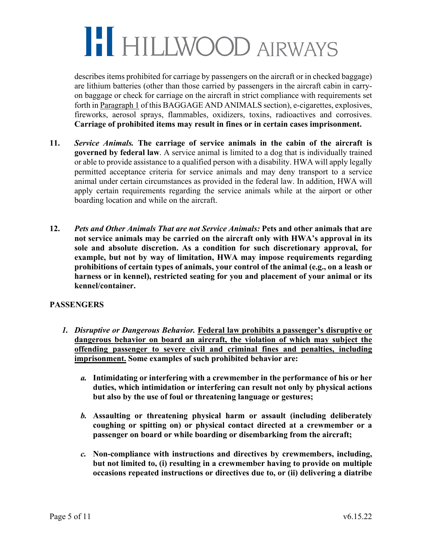describes items prohibited for carriage by passengers on the aircraft or in checked baggage) are lithium batteries (other than those carried by passengers in the aircraft cabin in carryon baggage or check for carriage on the aircraft in strict compliance with requirements set forth in Paragraph 1 of this BAGGAGE AND ANIMALS section), e-cigarettes, explosives, fireworks, aerosol sprays, flammables, oxidizers, toxins, radioactives and corrosives. **Carriage of prohibited items may result in fines or in certain cases imprisonment.**

- **11.** *Service Animals.* **The carriage of service animals in the cabin of the aircraft is governed by federal law**. A service animal is limited to a dog that is individually trained or able to provide assistance to a qualified person with a disability. HWA will apply legally permitted acceptance criteria for service animals and may deny transport to a service animal under certain circumstances as provided in the federal law. In addition, HWA will apply certain requirements regarding the service animals while at the airport or other boarding location and while on the aircraft.
- **12.** *Pets and Other Animals That are not Service Animals:* **Pets and other animals that are not service animals may be carried on the aircraft only with HWA's approval in its sole and absolute discretion. As a condition for such discretionary approval, for example, but not by way of limitation, HWA may impose requirements regarding prohibitions of certain types of animals, your control of the animal (e.g., on a leash or harness or in kennel), restricted seating for you and placement of your animal or its kennel/container.**

### **PASSENGERS**

- *1. Disruptive or Dangerous Behavior.* **Federal law prohibits a passenger's disruptive or dangerous behavior on board an aircraft, the violation of which may subject the offending passenger to severe civil and criminal fines and penalties, including imprisonment. Some examples of such prohibited behavior are:**
	- *a.* **Intimidating or interfering with a crewmember in the performance of his or her duties, which intimidation or interfering can result not only by physical actions but also by the use of foul or threatening language or gestures;**
	- *b.* **Assaulting or threatening physical harm or assault (including deliberately coughing or spitting on) or physical contact directed at a crewmember or a passenger on board or while boarding or disembarking from the aircraft;**
	- *c.* **Non-compliance with instructions and directives by crewmembers, including, but not limited to, (i) resulting in a crewmember having to provide on multiple occasions repeated instructions or directives due to, or (ii) delivering a diatribe**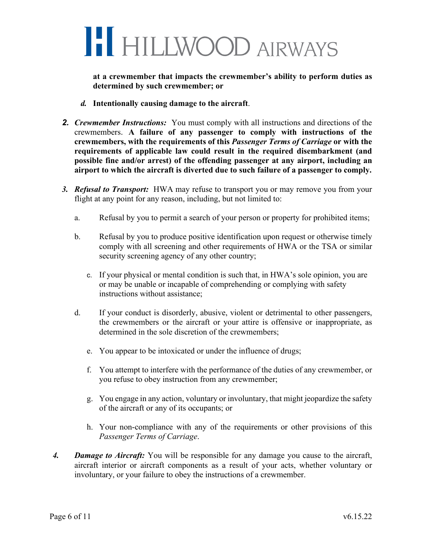

**at a crewmember that impacts the crewmember's ability to perform duties as determined by such crewmember; or**

- *d.* **Intentionally causing damage to the aircraft**.
- *2. Crewmember Instructions:* You must comply with all instructions and directions of the crewmembers. **A failure of any passenger to comply with instructions of the crewmembers, with the requirements of this** *Passenger Terms of Carriage* **or with the requirements of applicable law could result in the required disembarkment (and possible fine and/or arrest) of the offending passenger at any airport, including an airport to which the aircraft is diverted due to such failure of a passenger to comply.**
- *3. Refusal to Transport:* HWA may refuse to transport you or may remove you from your flight at any point for any reason, including, but not limited to:
	- a. Refusal by you to permit a search of your person or property for prohibited items;
	- b. Refusal by you to produce positive identification upon request or otherwise timely comply with all screening and other requirements of HWA or the TSA or similar security screening agency of any other country;
		- c. If your physical or mental condition is such that, in HWA's sole opinion, you are or may be unable or incapable of comprehending or complying with safety instructions without assistance;
	- d. If your conduct is disorderly, abusive, violent or detrimental to other passengers, the crewmembers or the aircraft or your attire is offensive or inappropriate, as determined in the sole discretion of the crewmembers;
		- e. You appear to be intoxicated or under the influence of drugs;
		- f. You attempt to interfere with the performance of the duties of any crewmember, or you refuse to obey instruction from any crewmember;
		- g. You engage in any action, voluntary or involuntary, that might jeopardize the safety of the aircraft or any of its occupants; or
		- h. Your non-compliance with any of the requirements or other provisions of this *Passenger Terms of Carriage*.
- *4. Damage to Aircraft:* You will be responsible for any damage you cause to the aircraft, aircraft interior or aircraft components as a result of your acts, whether voluntary or involuntary, or your failure to obey the instructions of a crewmember.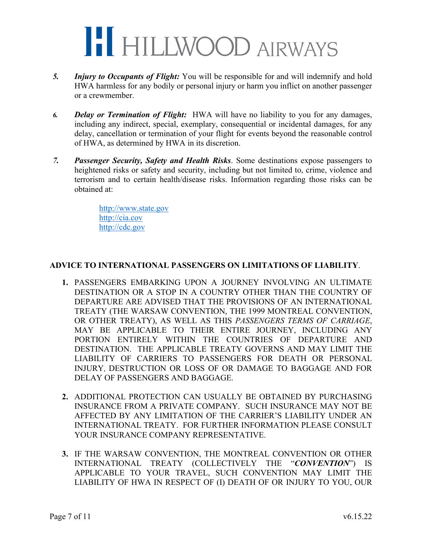

- *5. Injury to Occupants of Flight:* You will be responsible for and will indemnify and hold HWA harmless for any bodily or personal injury or harm you inflict on another passenger or a crewmember.
- *6. Delay or Termination of Flight:* HWA will have no liability to you for any damages, including any indirect, special, exemplary, consequential or incidental damages, for any delay, cancellation or termination of your flight for events beyond the reasonable control of HWA, as determined by HWA in its discretion.
- *7. Passenger Security, Safety and Health Risks*. Some destinations expose passengers to heightened risks or safety and security, including but not limited to, crime, violence and terrorism and to certain health/disease risks. Information regarding those risks can be obtained at:

http://www.state.gov http://cia.cov http://cdc.gov

### **ADVICE TO INTERNATIONAL PASSENGERS ON LIMITATIONS OF LIABILITY**.

- **1.** PASSENGERS EMBARKING UPON A JOURNEY INVOLVING AN ULTIMATE DESTINATION OR A STOP IN A COUNTRY OTHER THAN THE COUNTRY OF DEPARTURE ARE ADVISED THAT THE PROVISIONS OF AN INTERNATIONAL TREATY (THE WARSAW CONVENTION, THE 1999 MONTREAL CONVENTION, OR OTHER TREATY), AS WELL AS THIS *PASSENGERS TERMS OF CARRIAGE*, MAY BE APPLICABLE TO THEIR ENTIRE JOURNEY, INCLUDING ANY PORTION ENTIRELY WITHIN THE COUNTRIES OF DEPARTURE AND DESTINATION. THE APPLICABLE TREATY GOVERNS AND MAY LIMIT THE LIABILITY OF CARRIERS TO PASSENGERS FOR DEATH OR PERSONAL INJURY, DESTRUCTION OR LOSS OF OR DAMAGE TO BAGGAGE AND FOR DELAY OF PASSENGERS AND BAGGAGE.
- **2.** ADDITIONAL PROTECTION CAN USUALLY BE OBTAINED BY PURCHASING INSURANCE FROM A PRIVATE COMPANY. SUCH INSURANCE MAY NOT BE AFFECTED BY ANY LIMITATION OF THE CARRIER'S LIABILITY UNDER AN INTERNATIONAL TREATY. FOR FURTHER INFORMATION PLEASE CONSULT YOUR INSURANCE COMPANY REPRESENTATIVE.
- **3.** IF THE WARSAW CONVENTION, THE MONTREAL CONVENTION OR OTHER INTERNATIONAL TREATY (COLLECTIVELY THE "*CONVENTION*") IS APPLICABLE TO YOUR TRAVEL, SUCH CONVENTION MAY LIMIT THE LIABILITY OF HWA IN RESPECT OF (I) DEATH OF OR INJURY TO YOU, OUR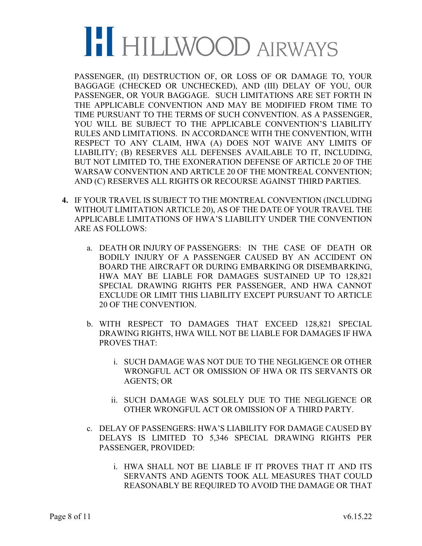PASSENGER, (II) DESTRUCTION OF, OR LOSS OF OR DAMAGE TO, YOUR BAGGAGE (CHECKED OR UNCHECKED), AND (III) DELAY OF YOU, OUR PASSENGER, OR YOUR BAGGAGE. SUCH LIMITATIONS ARE SET FORTH IN THE APPLICABLE CONVENTION AND MAY BE MODIFIED FROM TIME TO TIME PURSUANT TO THE TERMS OF SUCH CONVENTION. AS A PASSENGER, YOU WILL BE SUBJECT TO THE APPLICABLE CONVENTION'S LIABILITY RULES AND LIMITATIONS. IN ACCORDANCE WITH THE CONVENTION, WITH RESPECT TO ANY CLAIM, HWA (A) DOES NOT WAIVE ANY LIMITS OF LIABILITY; (B) RESERVES ALL DEFENSES AVAILABLE TO IT, INCLUDING, BUT NOT LIMITED TO, THE EXONERATION DEFENSE OF ARTICLE 20 OF THE WARSAW CONVENTION AND ARTICLE 20 OF THE MONTREAL CONVENTION; AND (C) RESERVES ALL RIGHTS OR RECOURSE AGAINST THIRD PARTIES.

- **4.** IF YOUR TRAVEL IS SUBJECT TO THE MONTREAL CONVENTION (INCLUDING WITHOUT LIMITATION ARTICLE 20), AS OF THE DATE OF YOUR TRAVEL THE APPLICABLE LIMITATIONS OF HWA'S LIABILITY UNDER THE CONVENTION ARE AS FOLLOWS:
	- a. DEATH OR INJURY OF PASSENGERS: IN THE CASE OF DEATH OR BODILY INJURY OF A PASSENGER CAUSED BY AN ACCIDENT ON BOARD THE AIRCRAFT OR DURING EMBARKING OR DISEMBARKING, HWA MAY BE LIABLE FOR DAMAGES SUSTAINED UP TO 128,821 SPECIAL DRAWING RIGHTS PER PASSENGER, AND HWA CANNOT EXCLUDE OR LIMIT THIS LIABILITY EXCEPT PURSUANT TO ARTICLE 20 OF THE CONVENTION.
	- b. WITH RESPECT TO DAMAGES THAT EXCEED 128,821 SPECIAL DRAWING RIGHTS, HWA WILL NOT BE LIABLE FOR DAMAGES IF HWA PROVES THAT:
		- i. SUCH DAMAGE WAS NOT DUE TO THE NEGLIGENCE OR OTHER WRONGFUL ACT OR OMISSION OF HWA OR ITS SERVANTS OR AGENTS; OR
		- ii. SUCH DAMAGE WAS SOLELY DUE TO THE NEGLIGENCE OR OTHER WRONGFUL ACT OR OMISSION OF A THIRD PARTY.
	- c. DELAY OF PASSENGERS: HWA'S LIABILITY FOR DAMAGE CAUSED BY DELAYS IS LIMITED TO 5,346 SPECIAL DRAWING RIGHTS PER PASSENGER, PROVIDED:
		- i. HWA SHALL NOT BE LIABLE IF IT PROVES THAT IT AND ITS SERVANTS AND AGENTS TOOK ALL MEASURES THAT COULD REASONABLY BE REQUIRED TO AVOID THE DAMAGE OR THAT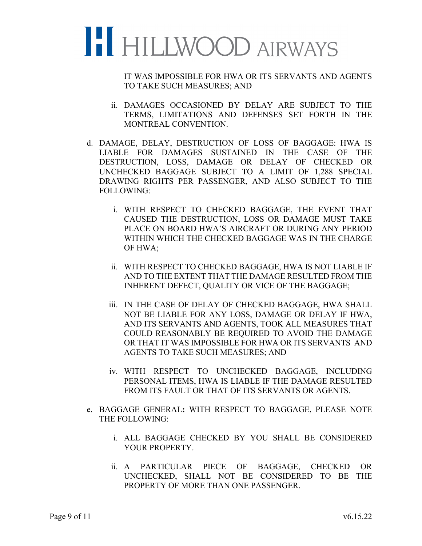

IT WAS IMPOSSIBLE FOR HWA OR ITS SERVANTS AND AGENTS TO TAKE SUCH MEASURES; AND

- ii. DAMAGES OCCASIONED BY DELAY ARE SUBJECT TO THE TERMS, LIMITATIONS AND DEFENSES SET FORTH IN THE MONTREAL CONVENTION.
- d. DAMAGE, DELAY, DESTRUCTION OF LOSS OF BAGGAGE: HWA IS LIABLE FOR DAMAGES SUSTAINED IN THE CASE OF THE DESTRUCTION, LOSS, DAMAGE OR DELAY OF CHECKED OR UNCHECKED BAGGAGE SUBJECT TO A LIMIT OF 1,288 SPECIAL DRAWING RIGHTS PER PASSENGER, AND ALSO SUBJECT TO THE FOLLOWING:
	- i. WITH RESPECT TO CHECKED BAGGAGE, THE EVENT THAT CAUSED THE DESTRUCTION, LOSS OR DAMAGE MUST TAKE PLACE ON BOARD HWA'S AIRCRAFT OR DURING ANY PERIOD WITHIN WHICH THE CHECKED BAGGAGE WAS IN THE CHARGE OF HWA;
	- ii. WITH RESPECT TO CHECKED BAGGAGE, HWA IS NOT LIABLE IF AND TO THE EXTENT THAT THE DAMAGE RESULTED FROM THE INHERENT DEFECT, QUALITY OR VICE OF THE BAGGAGE;
	- iii. IN THE CASE OF DELAY OF CHECKED BAGGAGE, HWA SHALL NOT BE LIABLE FOR ANY LOSS, DAMAGE OR DELAY IF HWA, AND ITS SERVANTS AND AGENTS, TOOK ALL MEASURES THAT COULD REASONABLY BE REQUIRED TO AVOID THE DAMAGE OR THAT IT WAS IMPOSSIBLE FOR HWA OR ITS SERVANTS AND AGENTS TO TAKE SUCH MEASURES; AND
	- iv. WITH RESPECT TO UNCHECKED BAGGAGE, INCLUDING PERSONAL ITEMS, HWA IS LIABLE IF THE DAMAGE RESULTED FROM ITS FAULT OR THAT OF ITS SERVANTS OR AGENTS.
- e. BAGGAGE GENERAL**:** WITH RESPECT TO BAGGAGE, PLEASE NOTE THE FOLLOWING:
	- i. ALL BAGGAGE CHECKED BY YOU SHALL BE CONSIDERED YOUR PROPERTY.
	- ii. A PARTICULAR PIECE OF BAGGAGE, CHECKED OR UNCHECKED, SHALL NOT BE CONSIDERED TO BE THE PROPERTY OF MORE THAN ONE PASSENGER.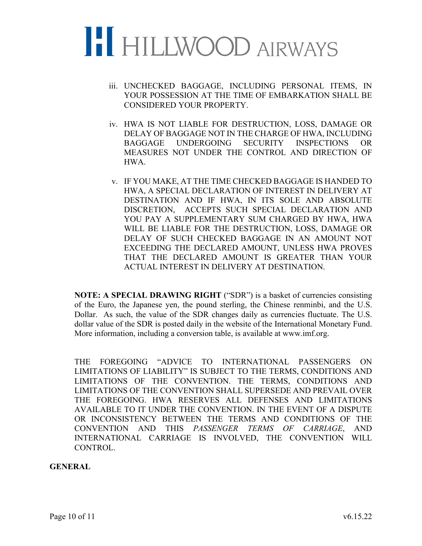

- iii. UNCHECKED BAGGAGE, INCLUDING PERSONAL ITEMS, IN YOUR POSSESSION AT THE TIME OF EMBARKATION SHALL BE CONSIDERED YOUR PROPERTY.
- iv. HWA IS NOT LIABLE FOR DESTRUCTION, LOSS, DAMAGE OR DELAY OF BAGGAGE NOT IN THE CHARGE OF HWA, INCLUDING BAGGAGE UNDERGOING SECURITY INSPECTIONS OR MEASURES NOT UNDER THE CONTROL AND DIRECTION OF HWA.
- v. IF YOU MAKE, AT THE TIME CHECKED BAGGAGE IS HANDED TO HWA, A SPECIAL DECLARATION OF INTEREST IN DELIVERY AT DESTINATION AND IF HWA, IN ITS SOLE AND ABSOLUTE DISCRETION, ACCEPTS SUCH SPECIAL DECLARATION AND YOU PAY A SUPPLEMENTARY SUM CHARGED BY HWA, HWA WILL BE LIABLE FOR THE DESTRUCTION, LOSS, DAMAGE OR DELAY OF SUCH CHECKED BAGGAGE IN AN AMOUNT NOT EXCEEDING THE DECLARED AMOUNT, UNLESS HWA PROVES THAT THE DECLARED AMOUNT IS GREATER THAN YOUR ACTUAL INTEREST IN DELIVERY AT DESTINATION.

**NOTE: A SPECIAL DRAWING RIGHT** ("SDR") is a basket of currencies consisting of the Euro, the Japanese yen, the pound sterling, the Chinese renminbi, and the U.S. Dollar. As such, the value of the SDR changes daily as currencies fluctuate. The U.S. dollar value of the SDR is posted daily in the website of the International Monetary Fund. More information, including a conversion table, is available at www.imf.org.

THE FOREGOING "ADVICE TO INTERNATIONAL PASSENGERS ON LIMITATIONS OF LIABILITY" IS SUBJECT TO THE TERMS, CONDITIONS AND LIMITATIONS OF THE CONVENTION. THE TERMS, CONDITIONS AND LIMITATIONS OF THE CONVENTION SHALL SUPERSEDE AND PREVAIL OVER THE FOREGOING. HWA RESERVES ALL DEFENSES AND LIMITATIONS AVAILABLE TO IT UNDER THE CONVENTION. IN THE EVENT OF A DISPUTE OR INCONSISTENCY BETWEEN THE TERMS AND CONDITIONS OF THE CONVENTION AND THIS *PASSENGER TERMS OF CARRIAGE*, AND INTERNATIONAL CARRIAGE IS INVOLVED, THE CONVENTION WILL CONTROL.

#### **GENERAL**